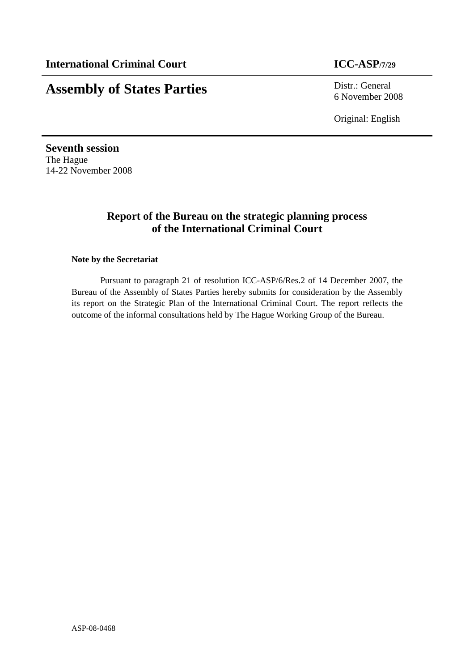# **Assembly of States Parties** Distr.: General

6 November 2008

Original: English

**Seventh session**  The Hague 14-22 November 2008

## **Report of the Bureau on the strategic planning process of the International Criminal Court**

#### **Note by the Secretariat**

Pursuant to paragraph 21 of resolution ICC-ASP/6/Res.2 of 14 December 2007, the Bureau of the Assembly of States Parties hereby submits for consideration by the Assembly its report on the Strategic Plan of the International Criminal Court. The report reflects the outcome of the informal consultations held by The Hague Working Group of the Bureau.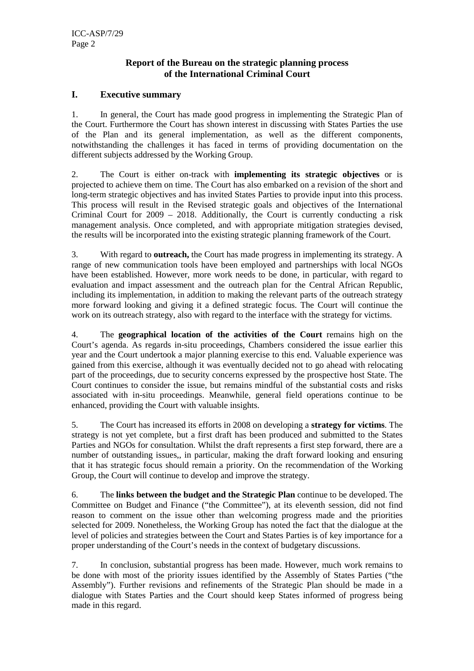#### **Report of the Bureau on the strategic planning process of the International Criminal Court**

#### **I. Executive summary**

1. In general, the Court has made good progress in implementing the Strategic Plan of the Court. Furthermore the Court has shown interest in discussing with States Parties the use of the Plan and its general implementation, as well as the different components, notwithstanding the challenges it has faced in terms of providing documentation on the different subjects addressed by the Working Group.

2. The Court is either on-track with **implementing its strategic objectives** or is projected to achieve them on time. The Court has also embarked on a revision of the short and long-term strategic objectives and has invited States Parties to provide input into this process. This process will result in the Revised strategic goals and objectives of the International Criminal Court for 2009 – 2018. Additionally, the Court is currently conducting a risk management analysis. Once completed, and with appropriate mitigation strategies devised, the results will be incorporated into the existing strategic planning framework of the Court.

3. With regard to **outreach,** the Court has made progress in implementing its strategy. A range of new communication tools have been employed and partnerships with local NGOs have been established. However, more work needs to be done, in particular, with regard to evaluation and impact assessment and the outreach plan for the Central African Republic, including its implementation, in addition to making the relevant parts of the outreach strategy more forward looking and giving it a defined strategic focus. The Court will continue the work on its outreach strategy, also with regard to the interface with the strategy for victims.

4. The **geographical location of the activities of the Court** remains high on the Court's agenda. As regards in-situ proceedings, Chambers considered the issue earlier this year and the Court undertook a major planning exercise to this end. Valuable experience was gained from this exercise, although it was eventually decided not to go ahead with relocating part of the proceedings, due to security concerns expressed by the prospective host State. The Court continues to consider the issue, but remains mindful of the substantial costs and risks associated with in-situ proceedings. Meanwhile, general field operations continue to be enhanced, providing the Court with valuable insights.

5. The Court has increased its efforts in 2008 on developing a **strategy for victims**. The strategy is not yet complete, but a first draft has been produced and submitted to the States Parties and NGOs for consultation. Whilst the draft represents a first step forward, there are a number of outstanding issues,, in particular, making the draft forward looking and ensuring that it has strategic focus should remain a priority. On the recommendation of the Working Group, the Court will continue to develop and improve the strategy.

6. The **links between the budget and the Strategic Plan** continue to be developed. The Committee on Budget and Finance ("the Committee"), at its eleventh session, did not find reason to comment on the issue other than welcoming progress made and the priorities selected for 2009. Nonetheless, the Working Group has noted the fact that the dialogue at the level of policies and strategies between the Court and States Parties is of key importance for a proper understanding of the Court's needs in the context of budgetary discussions.

7. In conclusion, substantial progress has been made. However, much work remains to be done with most of the priority issues identified by the Assembly of States Parties ("the Assembly"). Further revisions and refinements of the Strategic Plan should be made in a dialogue with States Parties and the Court should keep States informed of progress being made in this regard.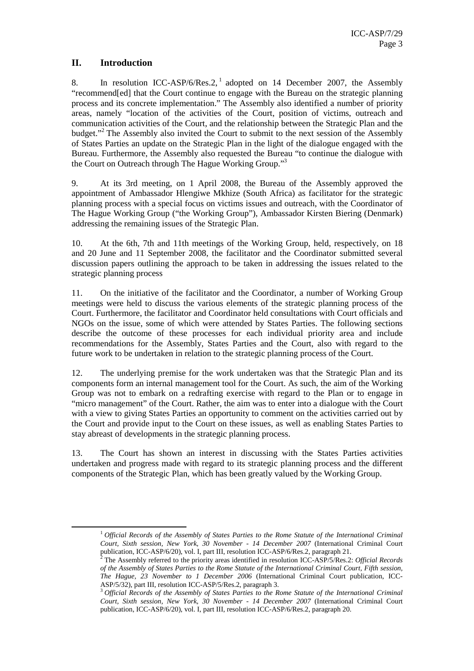### **II. Introduction**

ı

8. In resolution ICC-ASP/6/Res.2,<sup>1</sup> adopted on 14 December 2007, the Assembly "recommend[ed] that the Court continue to engage with the Bureau on the strategic planning process and its concrete implementation." The Assembly also identified a number of priority areas, namely "location of the activities of the Court, position of victims, outreach and communication activities of the Court, and the relationship between the Strategic Plan and the budget."<sup>2</sup> The Assembly also invited the Court to submit to the next session of the Assembly of States Parties an update on the Strategic Plan in the light of the dialogue engaged with the Bureau. Furthermore, the Assembly also requested the Bureau "to continue the dialogue with the Court on Outreach through The Hague Working Group."<sup>3</sup>

9. At its 3rd meeting, on 1 April 2008, the Bureau of the Assembly approved the appointment of Ambassador Hlengiwe Mkhize (South Africa) as facilitator for the strategic planning process with a special focus on victims issues and outreach, with the Coordinator of The Hague Working Group ("the Working Group"), Ambassador Kirsten Biering (Denmark) addressing the remaining issues of the Strategic Plan.

10. At the 6th, 7th and 11th meetings of the Working Group, held, respectively, on 18 and 20 June and 11 September 2008, the facilitator and the Coordinator submitted several discussion papers outlining the approach to be taken in addressing the issues related to the strategic planning process

11. On the initiative of the facilitator and the Coordinator, a number of Working Group meetings were held to discuss the various elements of the strategic planning process of the Court. Furthermore, the facilitator and Coordinator held consultations with Court officials and NGOs on the issue, some of which were attended by States Parties. The following sections describe the outcome of these processes for each individual priority area and include recommendations for the Assembly, States Parties and the Court, also with regard to the future work to be undertaken in relation to the strategic planning process of the Court.

12. The underlying premise for the work undertaken was that the Strategic Plan and its components form an internal management tool for the Court. As such, the aim of the Working Group was not to embark on a redrafting exercise with regard to the Plan or to engage in "micro management" of the Court. Rather, the aim was to enter into a dialogue with the Court with a view to giving States Parties an opportunity to comment on the activities carried out by the Court and provide input to the Court on these issues, as well as enabling States Parties to stay abreast of developments in the strategic planning process.

13. The Court has shown an interest in discussing with the States Parties activities undertaken and progress made with regard to its strategic planning process and the different components of the Strategic Plan, which has been greatly valued by the Working Group.

<sup>1</sup> *Official Records of the Assembly of States Parties to the Rome Statute of the International Criminal Court, Sixth session, New York, 30 November - 14 December 2007* (International Criminal Court

publication, ICC-ASP/6/20), vol. I, part III, resolution ICC-ASP/6/Res.2, paragraph 21. 2 The Assembly referred to the priority areas identified in resolution ICC-ASP/5/Res.2: *Official Records of the Assembly of States Parties to the Rome Statute of the International Criminal Court, Fifth session, The Hague, 23 November to 1 December 2006* (International Criminal Court publication, ICC-ASP/5/32), part III, resolution ICC-ASP/5/Res.2, paragraph 3.

<sup>3</sup> *Official Records of the Assembly of States Parties to the Rome Statute of the International Criminal Court, Sixth session, New York, 30 November - 14 December 2007* (International Criminal Court publication, ICC-ASP/6/20), vol. I, part III, resolution ICC-ASP/6/Res.2, paragraph 20.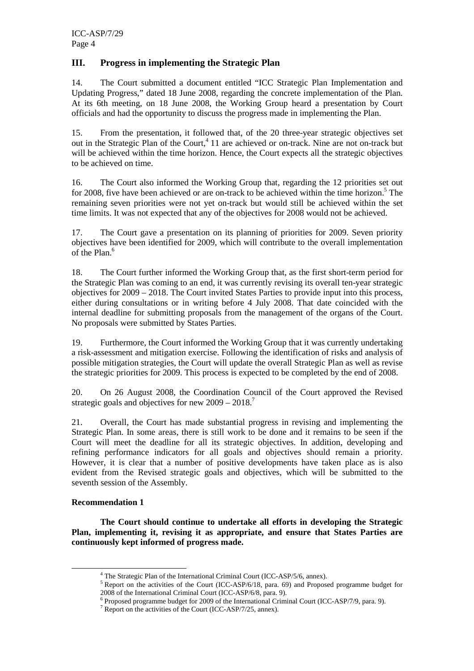#### **III. Progress in implementing the Strategic Plan**

14. The Court submitted a document entitled "ICC Strategic Plan Implementation and Updating Progress," dated 18 June 2008, regarding the concrete implementation of the Plan. At its 6th meeting, on 18 June 2008, the Working Group heard a presentation by Court officials and had the opportunity to discuss the progress made in implementing the Plan.

15. From the presentation, it followed that, of the 20 three-year strategic objectives set out in the Strategic Plan of the Court,<sup>4</sup> 11 are achieved or on-track. Nine are not on-track but will be achieved within the time horizon. Hence, the Court expects all the strategic objectives to be achieved on time.

16. The Court also informed the Working Group that, regarding the 12 priorities set out for 2008, five have been achieved or are on-track to be achieved within the time horizon.<sup>5</sup> The remaining seven priorities were not yet on-track but would still be achieved within the set time limits. It was not expected that any of the objectives for 2008 would not be achieved.

17. The Court gave a presentation on its planning of priorities for 2009. Seven priority objectives have been identified for 2009, which will contribute to the overall implementation of the Plan.<sup>6</sup>

18. The Court further informed the Working Group that, as the first short-term period for the Strategic Plan was coming to an end, it was currently revising its overall ten-year strategic objectives for 2009 – 2018. The Court invited States Parties to provide input into this process, either during consultations or in writing before 4 July 2008. That date coincided with the internal deadline for submitting proposals from the management of the organs of the Court. No proposals were submitted by States Parties.

19. Furthermore, the Court informed the Working Group that it was currently undertaking a risk-assessment and mitigation exercise. Following the identification of risks and analysis of possible mitigation strategies, the Court will update the overall Strategic Plan as well as revise the strategic priorities for 2009. This process is expected to be completed by the end of 2008.

20. On 26 August 2008, the Coordination Council of the Court approved the Revised strategic goals and objectives for new  $2009 - 2018$ .

21. Overall, the Court has made substantial progress in revising and implementing the Strategic Plan. In some areas, there is still work to be done and it remains to be seen if the Court will meet the deadline for all its strategic objectives. In addition, developing and refining performance indicators for all goals and objectives should remain a priority. However, it is clear that a number of positive developments have taken place as is also evident from the Revised strategic goals and objectives, which will be submitted to the seventh session of the Assembly.

#### **Recommendation 1**

ı

**The Court should continue to undertake all efforts in developing the Strategic Plan, implementing it, revising it as appropriate, and ensure that States Parties are continuously kept informed of progress made.** 

<sup>&</sup>lt;sup>4</sup> The Strategic Plan of the International Criminal Court (ICC-ASP/5/6, annex).

<sup>&</sup>lt;sup>5</sup> Report on the activities of the Court (ICC-ASP/6/18, para. 69) and Proposed programme budget for 2008 of the International Criminal Court (ICC-ASP/6/8, para. 9).

<sup>&</sup>lt;sup>6</sup> Proposed programme budget for 2009 of the International Criminal Court (ICC-ASP/7/9, para. 9).

<sup>&</sup>lt;sup>7</sup> Report on the activities of the Court (ICC-ASP/7/25, annex).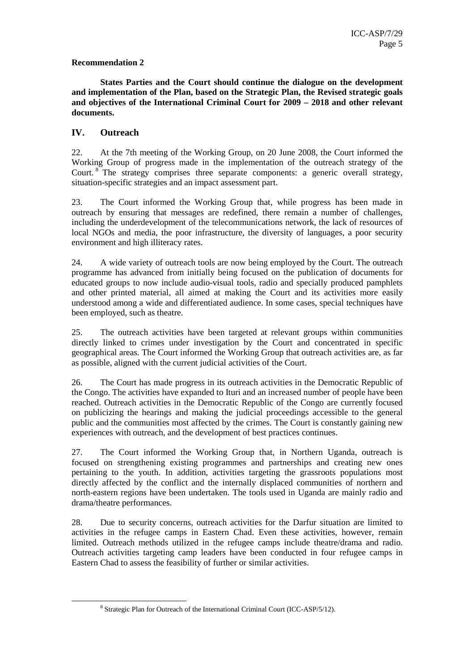#### **Recommendation 2**

**States Parties and the Court should continue the dialogue on the development and implementation of the Plan, based on the Strategic Plan, the Revised strategic goals and objectives of the International Criminal Court for 2009 – 2018 and other relevant documents.** 

#### **IV. Outreach**

ı

22. At the 7th meeting of the Working Group, on 20 June 2008, the Court informed the Working Group of progress made in the implementation of the outreach strategy of the Court. <sup>8</sup> The strategy comprises three separate components: a generic overall strategy, situation-specific strategies and an impact assessment part.

23. The Court informed the Working Group that, while progress has been made in outreach by ensuring that messages are redefined, there remain a number of challenges, including the underdevelopment of the telecommunications network, the lack of resources of local NGOs and media, the poor infrastructure, the diversity of languages, a poor security environment and high illiteracy rates.

24. A wide variety of outreach tools are now being employed by the Court. The outreach programme has advanced from initially being focused on the publication of documents for educated groups to now include audio-visual tools, radio and specially produced pamphlets and other printed material, all aimed at making the Court and its activities more easily understood among a wide and differentiated audience. In some cases, special techniques have been employed, such as theatre.

25. The outreach activities have been targeted at relevant groups within communities directly linked to crimes under investigation by the Court and concentrated in specific geographical areas. The Court informed the Working Group that outreach activities are, as far as possible, aligned with the current judicial activities of the Court.

26. The Court has made progress in its outreach activities in the Democratic Republic of the Congo. The activities have expanded to Ituri and an increased number of people have been reached. Outreach activities in the Democratic Republic of the Congo are currently focused on publicizing the hearings and making the judicial proceedings accessible to the general public and the communities most affected by the crimes. The Court is constantly gaining new experiences with outreach, and the development of best practices continues.

27. The Court informed the Working Group that, in Northern Uganda, outreach is focused on strengthening existing programmes and partnerships and creating new ones pertaining to the youth. In addition, activities targeting the grassroots populations most directly affected by the conflict and the internally displaced communities of northern and north-eastern regions have been undertaken. The tools used in Uganda are mainly radio and drama/theatre performances.

28. Due to security concerns, outreach activities for the Darfur situation are limited to activities in the refugee camps in Eastern Chad. Even these activities, however, remain limited. Outreach methods utilized in the refugee camps include theatre/drama and radio. Outreach activities targeting camp leaders have been conducted in four refugee camps in Eastern Chad to assess the feasibility of further or similar activities.

<sup>&</sup>lt;sup>8</sup> Strategic Plan for Outreach of the International Criminal Court (ICC-ASP/5/12).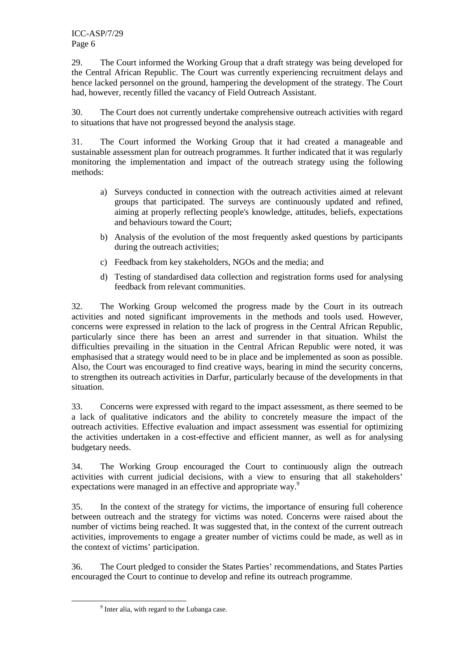29. The Court informed the Working Group that a draft strategy was being developed for the Central African Republic. The Court was currently experiencing recruitment delays and hence lacked personnel on the ground, hampering the development of the strategy. The Court had, however, recently filled the vacancy of Field Outreach Assistant.

30. The Court does not currently undertake comprehensive outreach activities with regard to situations that have not progressed beyond the analysis stage.

31. The Court informed the Working Group that it had created a manageable and sustainable assessment plan for outreach programmes. It further indicated that it was regularly monitoring the implementation and impact of the outreach strategy using the following methods:

- a) Surveys conducted in connection with the outreach activities aimed at relevant groups that participated. The surveys are continuously updated and refined, aiming at properly reflecting people's knowledge, attitudes, beliefs, expectations and behaviours toward the Court;
- b) Analysis of the evolution of the most frequently asked questions by participants during the outreach activities;
- c) Feedback from key stakeholders, NGOs and the media; and
- d) Testing of standardised data collection and registration forms used for analysing feedback from relevant communities.

32. The Working Group welcomed the progress made by the Court in its outreach activities and noted significant improvements in the methods and tools used. However, concerns were expressed in relation to the lack of progress in the Central African Republic, particularly since there has been an arrest and surrender in that situation. Whilst the difficulties prevailing in the situation in the Central African Republic were noted, it was emphasised that a strategy would need to be in place and be implemented as soon as possible. Also, the Court was encouraged to find creative ways, bearing in mind the security concerns, to strengthen its outreach activities in Darfur, particularly because of the developments in that situation.

33. Concerns were expressed with regard to the impact assessment, as there seemed to be a lack of qualitative indicators and the ability to concretely measure the impact of the outreach activities. Effective evaluation and impact assessment was essential for optimizing the activities undertaken in a cost-effective and efficient manner, as well as for analysing budgetary needs.

34. The Working Group encouraged the Court to continuously align the outreach activities with current judicial decisions, with a view to ensuring that all stakeholders' expectations were managed in an effective and appropriate way.<sup>9</sup>

35. In the context of the strategy for victims, the importance of ensuring full coherence between outreach and the strategy for victims was noted. Concerns were raised about the number of victims being reached. It was suggested that, in the context of the current outreach activities, improvements to engage a greater number of victims could be made, as well as in the context of victims' participation.

36. The Court pledged to consider the States Parties' recommendations, and States Parties encouraged the Court to continue to develop and refine its outreach programme.

ı

<sup>&</sup>lt;sup>9</sup> Inter alia, with regard to the Lubanga case.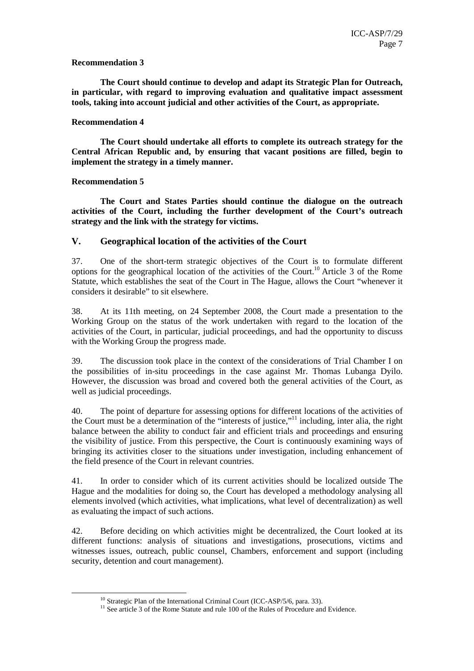#### **Recommendation 3**

**The Court should continue to develop and adapt its Strategic Plan for Outreach, in particular, with regard to improving evaluation and qualitative impact assessment tools, taking into account judicial and other activities of the Court, as appropriate.** 

#### **Recommendation 4**

**The Court should undertake all efforts to complete its outreach strategy for the Central African Republic and, by ensuring that vacant positions are filled, begin to implement the strategy in a timely manner.** 

#### **Recommendation 5**

l

**The Court and States Parties should continue the dialogue on the outreach activities of the Court, including the further development of the Court's outreach strategy and the link with the strategy for victims.** 

#### **V. Geographical location of the activities of the Court**

37. One of the short-term strategic objectives of the Court is to formulate different options for the geographical location of the activities of the Court.<sup>10</sup> Article 3 of the Rome Statute, which establishes the seat of the Court in The Hague, allows the Court "whenever it considers it desirable" to sit elsewhere.

38. At its 11th meeting, on 24 September 2008, the Court made a presentation to the Working Group on the status of the work undertaken with regard to the location of the activities of the Court, in particular, judicial proceedings, and had the opportunity to discuss with the Working Group the progress made.

39. The discussion took place in the context of the considerations of Trial Chamber I on the possibilities of in-situ proceedings in the case against Mr. Thomas Lubanga Dyilo. However, the discussion was broad and covered both the general activities of the Court, as well as judicial proceedings.

40. The point of departure for assessing options for different locations of the activities of the Court must be a determination of the "interests of justice,"<sup>11</sup> including, inter alia, the right balance between the ability to conduct fair and efficient trials and proceedings and ensuring the visibility of justice. From this perspective, the Court is continuously examining ways of bringing its activities closer to the situations under investigation, including enhancement of the field presence of the Court in relevant countries.

41. In order to consider which of its current activities should be localized outside The Hague and the modalities for doing so, the Court has developed a methodology analysing all elements involved (which activities, what implications, what level of decentralization) as well as evaluating the impact of such actions.

42. Before deciding on which activities might be decentralized, the Court looked at its different functions: analysis of situations and investigations, prosecutions, victims and witnesses issues, outreach, public counsel, Chambers, enforcement and support (including security, detention and court management).

<sup>&</sup>lt;sup>10</sup> Strategic Plan of the International Criminal Court (ICC-ASP/5/6, para. 33).

 $11$  See article 3 of the Rome Statute and rule 100 of the Rules of Procedure and Evidence.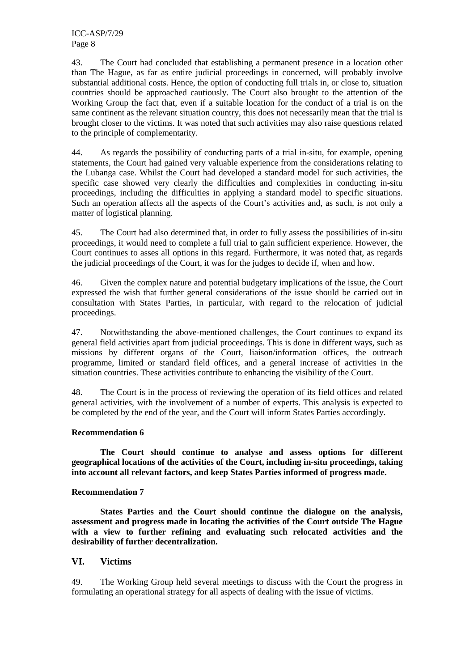ICC-ASP/7/29 Page 8

43. The Court had concluded that establishing a permanent presence in a location other than The Hague, as far as entire judicial proceedings in concerned, will probably involve substantial additional costs. Hence, the option of conducting full trials in, or close to, situation countries should be approached cautiously. The Court also brought to the attention of the Working Group the fact that, even if a suitable location for the conduct of a trial is on the same continent as the relevant situation country, this does not necessarily mean that the trial is brought closer to the victims. It was noted that such activities may also raise questions related to the principle of complementarity.

44. As regards the possibility of conducting parts of a trial in-situ, for example, opening statements, the Court had gained very valuable experience from the considerations relating to the Lubanga case. Whilst the Court had developed a standard model for such activities, the specific case showed very clearly the difficulties and complexities in conducting in-situ proceedings, including the difficulties in applying a standard model to specific situations. Such an operation affects all the aspects of the Court's activities and, as such, is not only a matter of logistical planning.

45. The Court had also determined that, in order to fully assess the possibilities of in-situ proceedings, it would need to complete a full trial to gain sufficient experience. However, the Court continues to asses all options in this regard. Furthermore, it was noted that, as regards the judicial proceedings of the Court, it was for the judges to decide if, when and how.

46. Given the complex nature and potential budgetary implications of the issue, the Court expressed the wish that further general considerations of the issue should be carried out in consultation with States Parties, in particular, with regard to the relocation of judicial proceedings.

47. Notwithstanding the above-mentioned challenges, the Court continues to expand its general field activities apart from judicial proceedings. This is done in different ways, such as missions by different organs of the Court, liaison/information offices, the outreach programme, limited or standard field offices, and a general increase of activities in the situation countries. These activities contribute to enhancing the visibility of the Court.

48. The Court is in the process of reviewing the operation of its field offices and related general activities, with the involvement of a number of experts. This analysis is expected to be completed by the end of the year, and the Court will inform States Parties accordingly.

#### **Recommendation 6**

**The Court should continue to analyse and assess options for different geographical locations of the activities of the Court, including in-situ proceedings, taking into account all relevant factors, and keep States Parties informed of progress made.** 

#### **Recommendation 7**

**States Parties and the Court should continue the dialogue on the analysis, assessment and progress made in locating the activities of the Court outside The Hague with a view to further refining and evaluating such relocated activities and the desirability of further decentralization.** 

#### **VI. Victims**

49. The Working Group held several meetings to discuss with the Court the progress in formulating an operational strategy for all aspects of dealing with the issue of victims.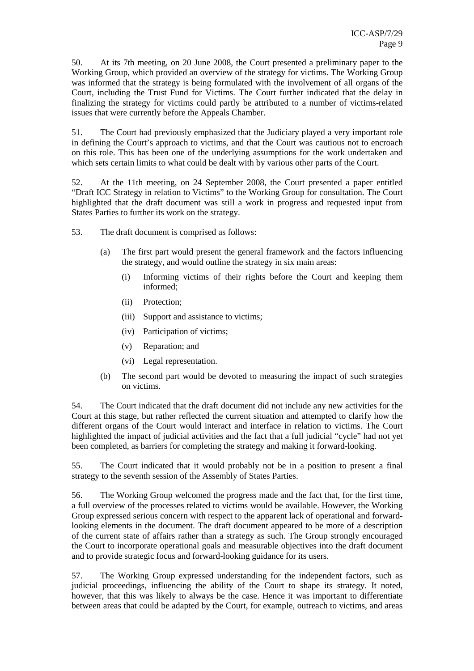50. At its 7th meeting, on 20 June 2008, the Court presented a preliminary paper to the Working Group, which provided an overview of the strategy for victims. The Working Group was informed that the strategy is being formulated with the involvement of all organs of the Court, including the Trust Fund for Victims. The Court further indicated that the delay in finalizing the strategy for victims could partly be attributed to a number of victims-related issues that were currently before the Appeals Chamber.

51. The Court had previously emphasized that the Judiciary played a very important role in defining the Court's approach to victims, and that the Court was cautious not to encroach on this role. This has been one of the underlying assumptions for the work undertaken and which sets certain limits to what could be dealt with by various other parts of the Court.

52. At the 11th meeting, on 24 September 2008, the Court presented a paper entitled "Draft ICC Strategy in relation to Victims" to the Working Group for consultation. The Court highlighted that the draft document was still a work in progress and requested input from States Parties to further its work on the strategy.

- 53. The draft document is comprised as follows:
	- (a) The first part would present the general framework and the factors influencing the strategy, and would outline the strategy in six main areas:
		- (i) Informing victims of their rights before the Court and keeping them informed;
		- (ii) Protection;
		- (iii) Support and assistance to victims;
		- (iv) Participation of victims;
		- (v) Reparation; and
		- (vi) Legal representation.
	- (b) The second part would be devoted to measuring the impact of such strategies on victims.

54. The Court indicated that the draft document did not include any new activities for the Court at this stage, but rather reflected the current situation and attempted to clarify how the different organs of the Court would interact and interface in relation to victims. The Court highlighted the impact of judicial activities and the fact that a full judicial "cycle" had not yet been completed, as barriers for completing the strategy and making it forward-looking.

55. The Court indicated that it would probably not be in a position to present a final strategy to the seventh session of the Assembly of States Parties.

56. The Working Group welcomed the progress made and the fact that, for the first time, a full overview of the processes related to victims would be available. However, the Working Group expressed serious concern with respect to the apparent lack of operational and forwardlooking elements in the document. The draft document appeared to be more of a description of the current state of affairs rather than a strategy as such. The Group strongly encouraged the Court to incorporate operational goals and measurable objectives into the draft document and to provide strategic focus and forward-looking guidance for its users.

57. The Working Group expressed understanding for the independent factors, such as judicial proceedings, influencing the ability of the Court to shape its strategy. It noted, however, that this was likely to always be the case. Hence it was important to differentiate between areas that could be adapted by the Court, for example, outreach to victims, and areas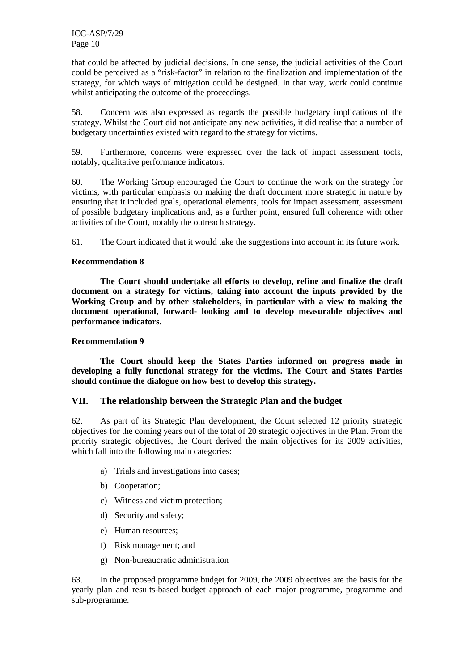that could be affected by judicial decisions. In one sense, the judicial activities of the Court could be perceived as a "risk-factor" in relation to the finalization and implementation of the strategy, for which ways of mitigation could be designed. In that way, work could continue whilst anticipating the outcome of the proceedings.

58. Concern was also expressed as regards the possible budgetary implications of the strategy. Whilst the Court did not anticipate any new activities, it did realise that a number of budgetary uncertainties existed with regard to the strategy for victims.

59. Furthermore, concerns were expressed over the lack of impact assessment tools, notably, qualitative performance indicators.

60. The Working Group encouraged the Court to continue the work on the strategy for victims, with particular emphasis on making the draft document more strategic in nature by ensuring that it included goals, operational elements, tools for impact assessment, assessment of possible budgetary implications and, as a further point, ensured full coherence with other activities of the Court, notably the outreach strategy.

61. The Court indicated that it would take the suggestions into account in its future work.

#### **Recommendation 8**

**The Court should undertake all efforts to develop, refine and finalize the draft document on a strategy for victims, taking into account the inputs provided by the Working Group and by other stakeholders, in particular with a view to making the document operational, forward- looking and to develop measurable objectives and performance indicators.** 

#### **Recommendation 9**

**The Court should keep the States Parties informed on progress made in developing a fully functional strategy for the victims. The Court and States Parties should continue the dialogue on how best to develop this strategy.** 

#### **VII. The relationship between the Strategic Plan and the budget**

62. As part of its Strategic Plan development, the Court selected 12 priority strategic objectives for the coming years out of the total of 20 strategic objectives in the Plan. From the priority strategic objectives, the Court derived the main objectives for its 2009 activities, which fall into the following main categories:

- a) Trials and investigations into cases;
- b) Cooperation;
- c) Witness and victim protection;
- d) Security and safety;
- e) Human resources;
- f) Risk management; and
- g) Non-bureaucratic administration

63. In the proposed programme budget for 2009, the 2009 objectives are the basis for the yearly plan and results-based budget approach of each major programme, programme and sub-programme.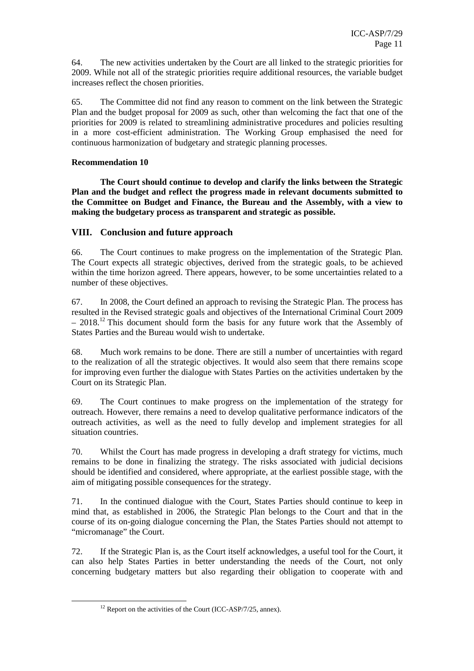64. The new activities undertaken by the Court are all linked to the strategic priorities for 2009. While not all of the strategic priorities require additional resources, the variable budget increases reflect the chosen priorities.

65. The Committee did not find any reason to comment on the link between the Strategic Plan and the budget proposal for 2009 as such, other than welcoming the fact that one of the priorities for 2009 is related to streamlining administrative procedures and policies resulting in a more cost-efficient administration. The Working Group emphasised the need for continuous harmonization of budgetary and strategic planning processes.

#### **Recommendation 10**

**The Court should continue to develop and clarify the links between the Strategic Plan and the budget and reflect the progress made in relevant documents submitted to the Committee on Budget and Finance, the Bureau and the Assembly, with a view to making the budgetary process as transparent and strategic as possible.** 

#### **VIII. Conclusion and future approach**

66. The Court continues to make progress on the implementation of the Strategic Plan. The Court expects all strategic objectives, derived from the strategic goals, to be achieved within the time horizon agreed. There appears, however, to be some uncertainties related to a number of these objectives.

67. In 2008, the Court defined an approach to revising the Strategic Plan. The process has resulted in the Revised strategic goals and objectives of the International Criminal Court 2009  $-2018$ <sup>12</sup> This document should form the basis for any future work that the Assembly of States Parties and the Bureau would wish to undertake.

68. Much work remains to be done. There are still a number of uncertainties with regard to the realization of all the strategic objectives. It would also seem that there remains scope for improving even further the dialogue with States Parties on the activities undertaken by the Court on its Strategic Plan.

69. The Court continues to make progress on the implementation of the strategy for outreach. However, there remains a need to develop qualitative performance indicators of the outreach activities, as well as the need to fully develop and implement strategies for all situation countries.

70. Whilst the Court has made progress in developing a draft strategy for victims, much remains to be done in finalizing the strategy. The risks associated with judicial decisions should be identified and considered, where appropriate, at the earliest possible stage, with the aim of mitigating possible consequences for the strategy.

71. In the continued dialogue with the Court, States Parties should continue to keep in mind that, as established in 2006, the Strategic Plan belongs to the Court and that in the course of its on-going dialogue concerning the Plan, the States Parties should not attempt to "micromanage" the Court.

72. If the Strategic Plan is, as the Court itself acknowledges, a useful tool for the Court, it can also help States Parties in better understanding the needs of the Court, not only concerning budgetary matters but also regarding their obligation to cooperate with and

ı

 $12$  Report on the activities of the Court (ICC-ASP/7/25, annex).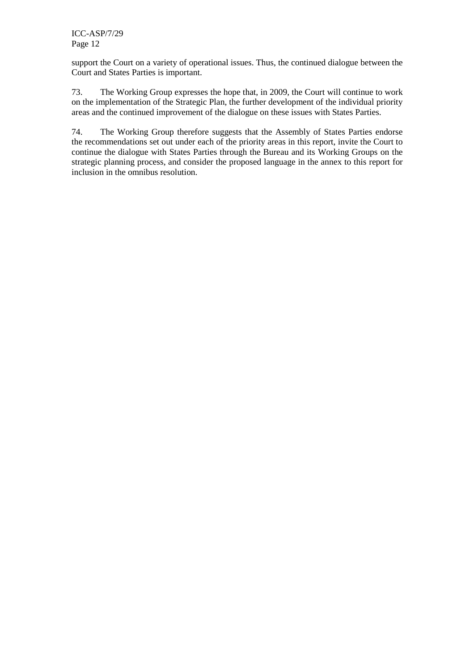support the Court on a variety of operational issues. Thus, the continued dialogue between the Court and States Parties is important.

73. The Working Group expresses the hope that, in 2009, the Court will continue to work on the implementation of the Strategic Plan, the further development of the individual priority areas and the continued improvement of the dialogue on these issues with States Parties.

74. The Working Group therefore suggests that the Assembly of States Parties endorse the recommendations set out under each of the priority areas in this report, invite the Court to continue the dialogue with States Parties through the Bureau and its Working Groups on the strategic planning process, and consider the proposed language in the annex to this report for inclusion in the omnibus resolution.